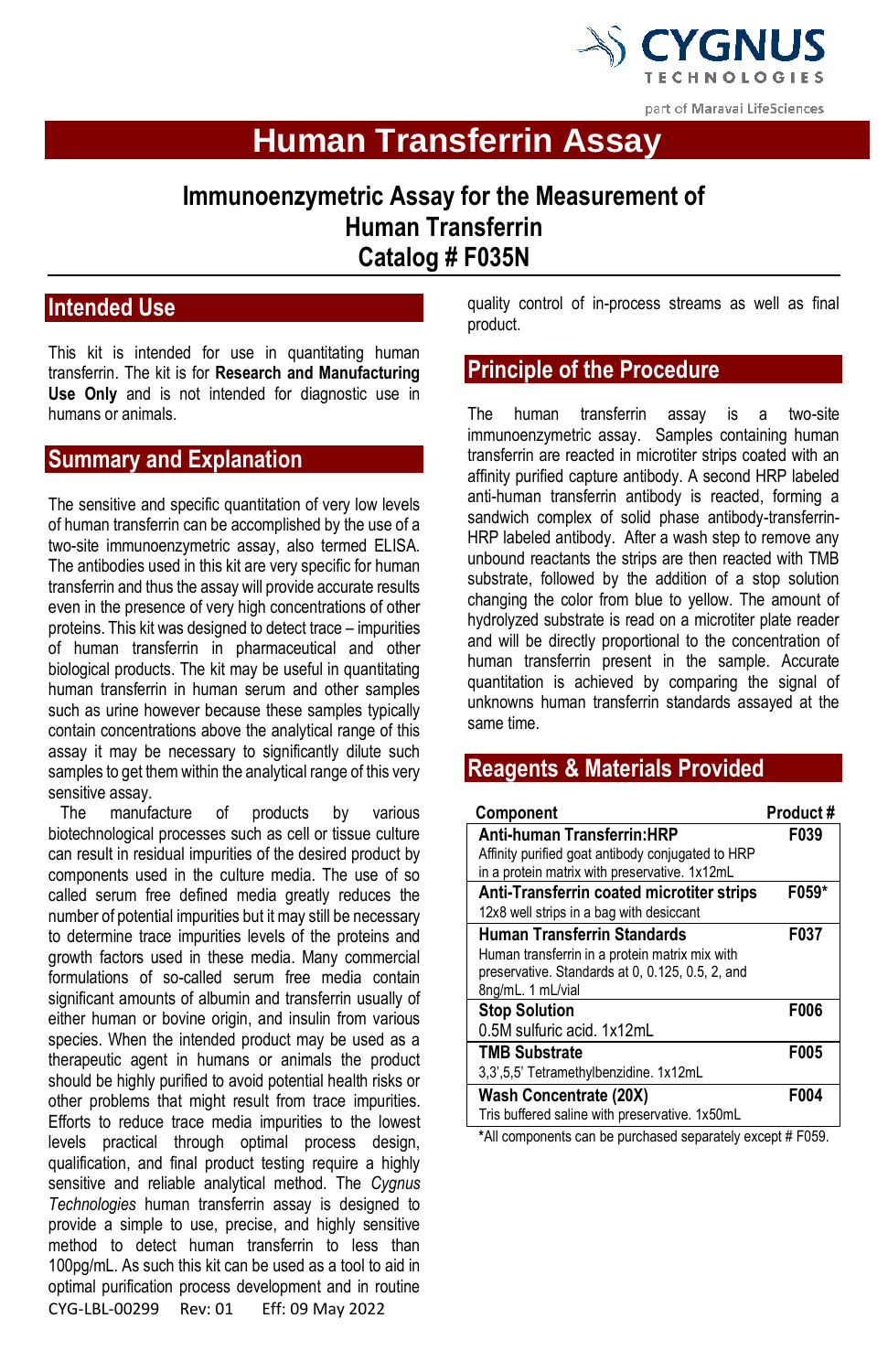

**Human Transferrin Assay**

# **Immunoenzymetric Assay for the Measurement of Human Transferrin Catalog # F035N**

## **Intended Use**

This kit is intended for use in quantitating human transferrin. The kit is for **Research and Manufacturing Use Only** and is not intended for diagnostic use in humans or animals.

### **Summary and Explanation**

The sensitive and specific quantitation of very low levels of human transferrin can be accomplished by the use of a two-site immunoenzymetric assay, also termed ELISA. The antibodies used in this kit are very specific for human transferrin and thus the assay will provide accurate results even in the presence of very high concentrations of other proteins. This kit was designed to detect trace – impurities of human transferrin in pharmaceutical and other biological products. The kit may be useful in quantitating human transferrin in human serum and other samples such as urine however because these samples typically contain concentrations above the analytical range of this assay it may be necessary to significantly dilute such samples to get them within the analytical range of this very sensitive assay.<br>The manufa

CYG-LBL-00299 Rev: 01 Eff: 09 May 2022 manufacture of products by various biotechnological processes such as cell or tissue culture can result in residual impurities of the desired product by components used in the culture media. The use of so called serum free defined media greatly reduces the number of potential impurities but it may still be necessary to determine trace impurities levels of the proteins and growth factors used in these media. Many commercial formulations of so-called serum free media contain significant amounts of albumin and transferrin usually of either human or bovine origin, and insulin from various species. When the intended product may be used as a therapeutic agent in humans or animals the product should be highly purified to avoid potential health risks or other problems that might result from trace impurities. Efforts to reduce trace media impurities to the lowest levels practical through optimal process design, qualification, and final product testing require a highly sensitive and reliable analytical method. The *Cygnus Technologies* human transferrin assay is designed to provide a simple to use, precise, and highly sensitive method to detect human transferrin to less than 100pg/mL. As such this kit can be used as a tool to aid in optimal purification process development and in routine

quality control of in-process streams as well as final product.

## **Principle of the Procedure**

The human transferrin assay is a two-site immunoenzymetric assay. Samples containing human transferrin are reacted in microtiter strips coated with an affinity purified capture antibody. A second HRP labeled anti-human transferrin antibody is reacted, forming a sandwich complex of solid phase antibody-transferrin-HRP labeled antibody. After a wash step to remove any unbound reactants the strips are then reacted with TMB substrate, followed by the addition of a stop solution changing the color from blue to yellow. The amount of hydrolyzed substrate is read on a microtiter plate reader and will be directly proportional to the concentration of human transferrin present in the sample. Accurate quantitation is achieved by comparing the signal of unknowns human transferrin standards assayed at the same time.

## **Reagents & Materials Provided**

| Component                                         | Product# |
|---------------------------------------------------|----------|
| Anti-human Transferrin:HRP                        | F039     |
| Affinity purified goat antibody conjugated to HRP |          |
| in a protein matrix with preservative. 1x12mL     |          |
| Anti-Transferrin coated microtiter strips         | F059*    |
| 12x8 well strips in a bag with desiccant          |          |
| <b>Human Transferrin Standards</b>                | F037     |
| Human transferrin in a protein matrix mix with    |          |
| preservative. Standards at 0, 0.125, 0.5, 2, and  |          |
| 8ng/mL. 1 mL/vial                                 |          |
| <b>Stop Solution</b>                              | F006     |
| 0.5M sulfuric acid. 1x12mL                        |          |
| <b>TMB Substrate</b>                              | F005     |
| 3,3',5,5' Tetramethylbenzidine. 1x12mL            |          |
| <b>Wash Concentrate (20X)</b>                     | F004     |
| Tris buffered saline with preservative. 1x50mL    |          |

**\***All components can be purchased separately except # F059.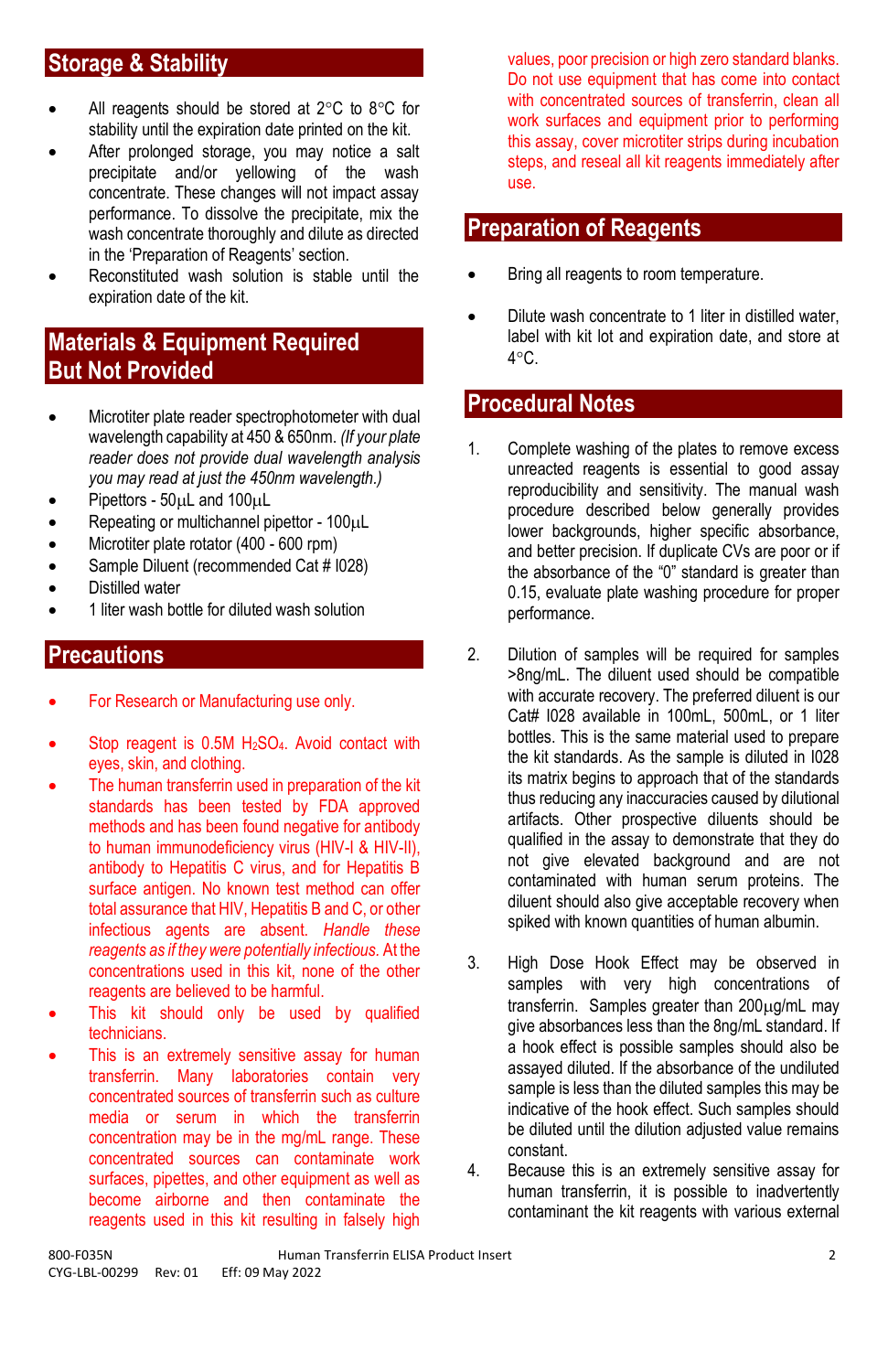# **Storage & Stability**

- All reagents should be stored at  $2^{\circ}$ C to  $8^{\circ}$ C for stability until the expiration date printed on the kit.
- After prolonged storage, you may notice a salt precipitate and/or yellowing of the wash concentrate. These changes will not impact assay performance. To dissolve the precipitate, mix the wash concentrate thoroughly and dilute as directed in the 'Preparation of Reagents' section.
- Reconstituted wash solution is stable until the expiration date of the kit.

## **Materials & Equipment Required But Not Provided**

- Microtiter plate reader spectrophotometer with dual wavelength capability at 450 & 650nm. *(If your plate reader does not provide dual wavelength analysis you may read at just the 450nm wavelength.)*
- Pipettors  $50\mu$ L and  $100\mu$ L
- Repeating or multichannel pipettor 100µL
- Microtiter plate rotator (400 600 rpm)
- Sample Diluent (recommended Cat # 1028)
- Distilled water
- 1 liter wash bottle for diluted wash solution

## **Precautions**

- For Research or Manufacturing use only.
- Stop reagent is  $0.5M$  H<sub>2</sub>SO<sub>4</sub>. Avoid contact with eyes, skin, and clothing.
- The human transferrin used in preparation of the kit standards has been tested by FDA approved methods and has been found negative for antibody to human immunodeficiency virus (HIV-I & HIV-II), antibody to Hepatitis C virus, and for Hepatitis B surface antigen. No known test method can offer total assurance that HIV, Hepatitis B and C, or other infectious agents are absent. *Handle these reagents as if they were potentially infectious.* At the concentrations used in this kit, none of the other reagents are believed to be harmful.
- This kit should only be used by qualified technicians.
- This is an extremely sensitive assay for human transferrin. Many laboratories contain very concentrated sources of transferrin such as culture media or serum in which the transferrin concentration may be in the mg/mL range. These concentrated sources can contaminate work surfaces, pipettes, and other equipment as well as become airborne and then contaminate the reagents used in this kit resulting in falsely high

values, poor precision or high zero standard blanks. Do not use equipment that has come into contact with concentrated sources of transferrin, clean all work surfaces and equipment prior to performing this assay, cover microtiter strips during incubation steps, and reseal all kit reagents immediately after use.

## **Preparation of Reagents**

- Bring all reagents to room temperature.
- Dilute wash concentrate to 1 liter in distilled water, label with kit lot and expiration date, and store at  $4^{\circ}$ C.

### **Procedural Notes**

- 1. Complete washing of the plates to remove excess unreacted reagents is essential to good assay reproducibility and sensitivity. The manual wash procedure described below generally provides lower backgrounds, higher specific absorbance, and better precision. If duplicate CVs are poor or if the absorbance of the "0" standard is greater than 0.15, evaluate plate washing procedure for proper performance.
- 2. Dilution of samples will be required for samples >8ng/mL. The diluent used should be compatible with accurate recovery. The preferred diluent is our Cat# I028 available in 100mL, 500mL, or 1 liter bottles. This is the same material used to prepare the kit standards. As the sample is diluted in I028 its matrix begins to approach that of the standards thus reducing any inaccuracies caused by dilutional artifacts. Other prospective diluents should be qualified in the assay to demonstrate that they do not give elevated background and are not contaminated with human serum proteins. The diluent should also give acceptable recovery when spiked with known quantities of human albumin.
- 3. High Dose Hook Effect may be observed in samples with very high concentrations of transferrin. Samples greater than  $200 \mu$ g/mL may give absorbances less than the 8ng/mL standard. If a hook effect is possible samples should also be assayed diluted. If the absorbance of the undiluted sample is less than the diluted samples this may be indicative of the hook effect. Such samples should be diluted until the dilution adjusted value remains constant.
- 4. Because this is an extremely sensitive assay for human transferrin, it is possible to inadvertently contaminant the kit reagents with various external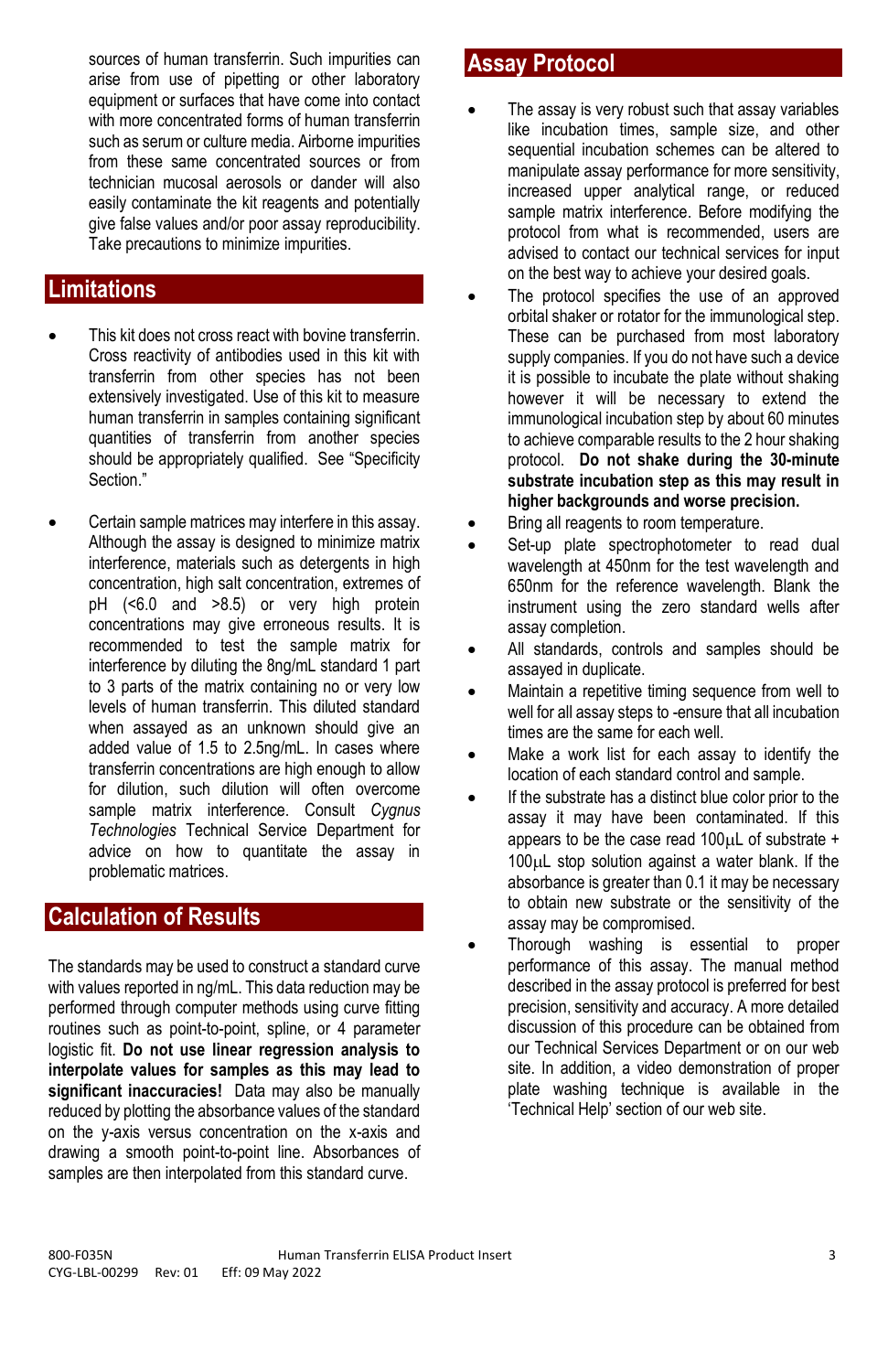## **Limitations**

- This kit does not cross react with bovine transferrin. Cross reactivity of antibodies used in this kit with transferrin from other species has not been extensively investigated. Use of this kit to measure human transferrin in samples containing significant quantities of transferrin from another species should be appropriately qualified. See "Specificity Section."
- Certain sample matrices may interfere in this assay. Although the assay is designed to minimize matrix interference, materials such as detergents in high concentration, high salt concentration, extremes of pH (<6.0 and >8.5) or very high protein concentrations may give erroneous results. It is recommended to test the sample matrix for interference by diluting the 8ng/mL standard 1 part to 3 parts of the matrix containing no or very low levels of human transferrin. This diluted standard when assayed as an unknown should give an added value of 1.5 to 2.5ng/mL. In cases where transferrin concentrations are high enough to allow for dilution, such dilution will often overcome sample matrix interference. Consult *Cygnus Technologies* Technical Service Department for advice on how to quantitate the assay in problematic matrices.

## **Calculation of Results**

The standards may be used to construct a standard curve with values reported in ng/mL. This data reduction may be performed through computer methods using curve fitting routines such as point-to-point, spline, or 4 parameter logistic fit. **Do not use linear regression analysis to interpolate values for samples as this may lead to significant inaccuracies!** Data may also be manually reduced by plotting the absorbance values of the standard on the y-axis versus concentration on the x-axis and drawing a smooth point-to-point line. Absorbances of samples are then interpolated from this standard curve.

## **Assay Protocol**

- The assay is very robust such that assay variables like incubation times, sample size, and other sequential incubation schemes can be altered to manipulate assay performance for more sensitivity, increased upper analytical range, or reduced sample matrix interference. Before modifying the protocol from what is recommended, users are advised to contact our technical services for input on the best way to achieve your desired goals.
- The protocol specifies the use of an approved orbital shaker or rotator for the immunological step. These can be purchased from most laboratory supply companies. If you do not have such a device it is possible to incubate the plate without shaking however it will be necessary to extend the immunological incubation step by about 60 minutes to achieve comparable results to the 2 hour shaking protocol. **Do not shake during the 30-minute substrate incubation step as this may result in higher backgrounds and worse precision.**
- Bring all reagents to room temperature.
- Set-up plate spectrophotometer to read dual wavelength at 450nm for the test wavelength and 650nm for the reference wavelength. Blank the instrument using the zero standard wells after assay completion.
- All standards, controls and samples should be assayed in duplicate.
- Maintain a repetitive timing sequence from well to well for all assay steps to -ensure that all incubation times are the same for each well.
- Make a work list for each assay to identify the location of each standard control and sample.
- If the substrate has a distinct blue color prior to the assay it may have been contaminated. If this appears to be the case read 100 $\mu$ L of substrate  $+$  $100\mu L$  stop solution against a water blank. If the absorbance is greater than 0.1 it may be necessary to obtain new substrate or the sensitivity of the assay may be compromised.
- Thorough washing is essential to proper performance of this assay. The manual method described in the assay protocol is preferred for best precision, sensitivity and accuracy. A more detailed discussion of this procedure can be obtained from our Technical Services Department or on our web site. In addition, a video demonstration of proper plate washing technique is available in the 'Technical Help' section of our web site.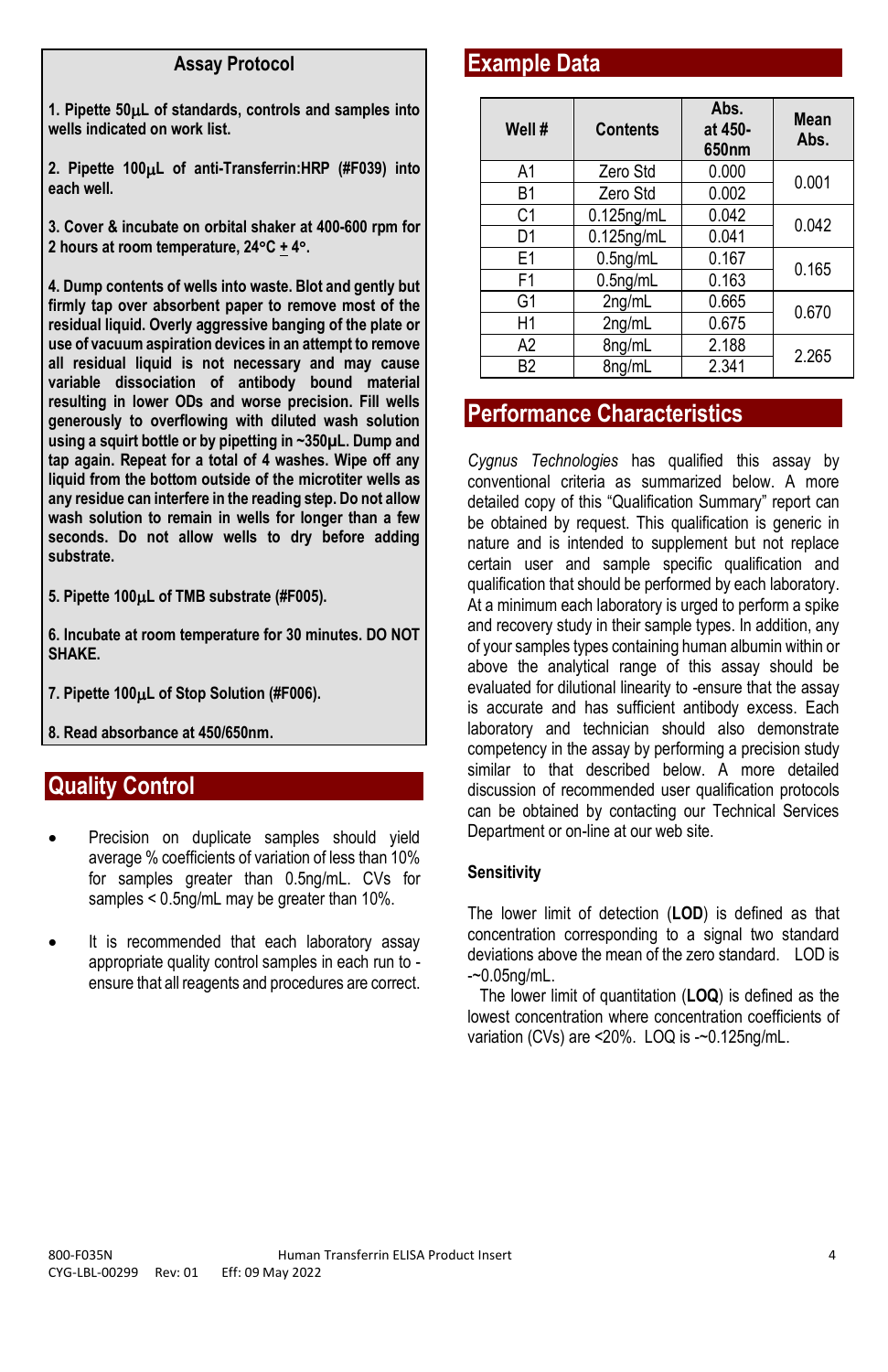#### **Assay Protocol**

**1. Pipette 50L of standards, controls and samples into wells indicated on work list.**

**2. Pipette 100L of anti-Transferrin:HRP (#F039) into each well.**

**3. Cover & incubate on orbital shaker at 400-600 rpm for 2 hours at room temperature, 24C + 4.**

**4. Dump contents of wells into waste. Blot and gently but firmly tap over absorbent paper to remove most of the residual liquid. Overly aggressive banging of the plate or use of vacuum aspiration devices in an attempt to remove all residual liquid is not necessary and may cause variable dissociation of antibody bound material resulting in lower ODs and worse precision. Fill wells generously to overflowing with diluted wash solution using a squirt bottle or by pipetting in ~350µL. Dump and tap again. Repeat for a total of 4 washes. Wipe off any liquid from the bottom outside of the microtiter wells as any residue can interfere in the reading step. Do not allow wash solution to remain in wells for longer than a few seconds. Do not allow wells to dry before adding substrate.**

**5. Pipette 100L of TMB substrate (#F005).** 

**6. Incubate at room temperature for 30 minutes. DO NOT SHAKE.**

**7. Pipette 100L of Stop Solution (#F006).**

**8. Read absorbance at 450/650nm.**

## **Quality Control**

- Precision on duplicate samples should yield average % coefficients of variation of less than 10% for samples greater than 0.5ng/mL. CVs for samples < 0.5ng/mL may be greater than 10%.
- It is recommended that each laboratory assay appropriate quality control samples in each run to ensure that all reagents and procedures are correct.

### **Example Data**

| Well #         | <b>Contents</b> | Abs.<br>at 450-<br>650 <sub>nm</sub> | Mean<br>Abs. |
|----------------|-----------------|--------------------------------------|--------------|
| A1             | Zero Std        | 0.000                                | 0.001        |
| B1             | Zero Std        | 0.002                                |              |
| C <sub>1</sub> | $0.125$ ng/mL   | 0.042                                | 0.042        |
| D1             | $0.125$ ng/mL   | 0.041                                |              |
| E1             | $0.5$ ng/mL     | 0.167                                | 0.165        |
| F <sub>1</sub> | $0.5$ ng/mL     | 0.163                                |              |
| G1             | 2ng/mL          | 0.665                                | 0.670        |
| H1             | 2ng/mL          | 0.675                                |              |
| A <sub>2</sub> | 8ng/mL          | 2.188                                | 2.265        |
| B <sub>2</sub> | 8na/mL          | 2.341                                |              |

### **Performance Characteristics**

*Cygnus Technologies* has qualified this assay by conventional criteria as summarized below. A more detailed copy of this "Qualification Summary" report can be obtained by request. This qualification is generic in nature and is intended to supplement but not replace certain user and sample specific qualification and qualification that should be performed by each laboratory. At a minimum each laboratory is urged to perform a spike and recovery study in their sample types. In addition, any of your samples types containing human albumin within or above the analytical range of this assay should be evaluated for dilutional linearity to -ensure that the assay is accurate and has sufficient antibody excess. Each laboratory and technician should also demonstrate competency in the assay by performing a precision study similar to that described below. A more detailed discussion of recommended user qualification protocols can be obtained by contacting our Technical Services Department or on-line at our web site.

#### **Sensitivity**

The lower limit of detection (**LOD**) is defined as that concentration corresponding to a signal two standard deviations above the mean of the zero standard. LOD is -~0.05ng/mL.

 The lower limit of quantitation (**LOQ**) is defined as the lowest concentration where concentration coefficients of variation (CVs) are <20%. LOQ is -~0.125ng/mL.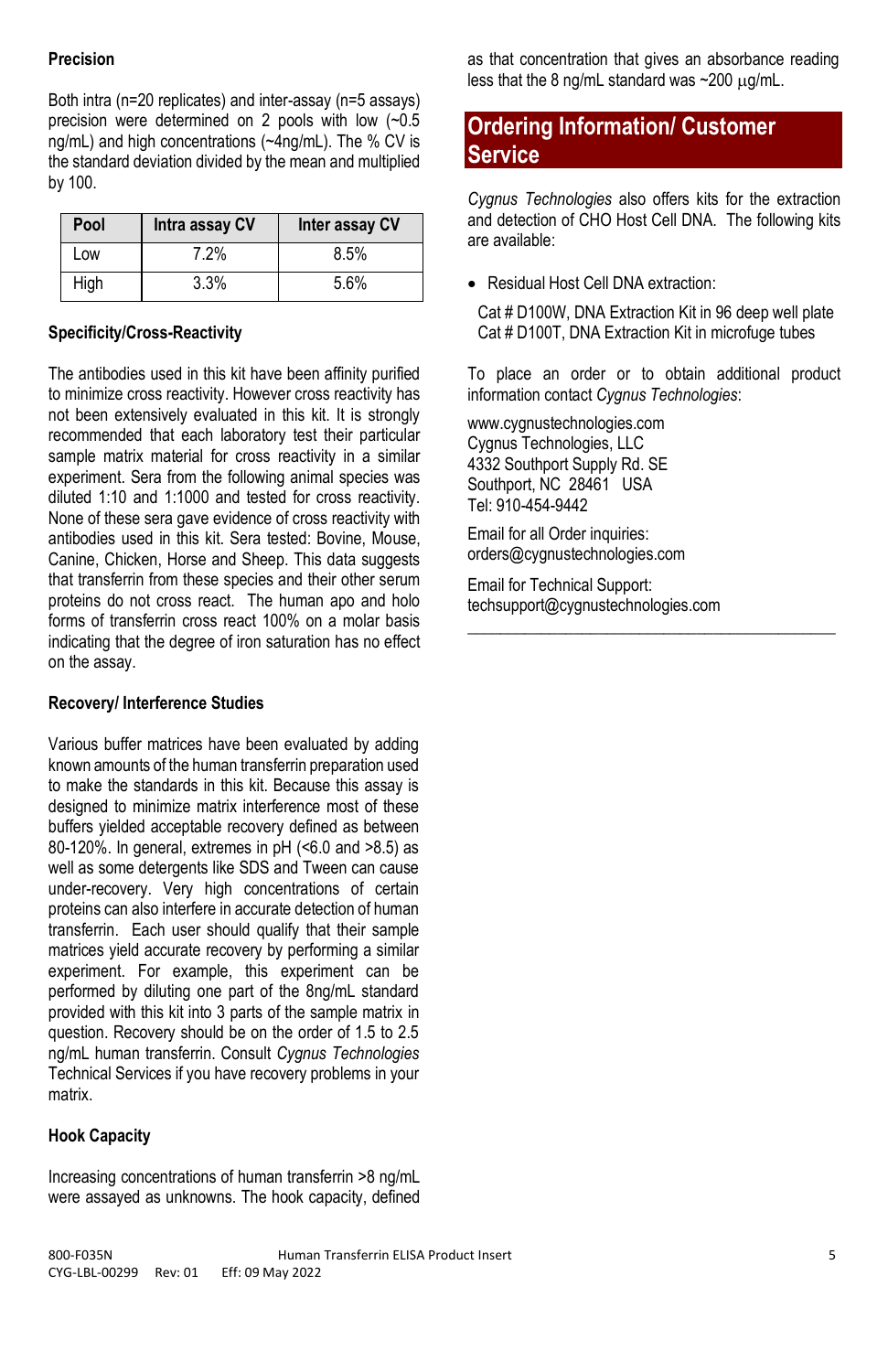#### **Precision**

Both intra (n=20 replicates) and inter-assay (n=5 assays) precision were determined on 2 pools with low (~0.5 ng/mL) and high concentrations (~4ng/mL). The % CV is the standard deviation divided by the mean and multiplied by 100.

| Pool | Intra assay CV | Inter assay CV |
|------|----------------|----------------|
| Low  | 7.2%           | 8.5%           |
| High | 3.3%           | 5.6%           |

#### **Specificity/Cross-Reactivity**

The antibodies used in this kit have been affinity purified to minimize cross reactivity. However cross reactivity has not been extensively evaluated in this kit. It is strongly recommended that each laboratory test their particular sample matrix material for cross reactivity in a similar experiment. Sera from the following animal species was diluted 1:10 and 1:1000 and tested for cross reactivity. None of these sera gave evidence of cross reactivity with antibodies used in this kit. Sera tested: Bovine, Mouse, Canine, Chicken, Horse and Sheep. This data suggests that transferrin from these species and their other serum proteins do not cross react. The human apo and holo forms of transferrin cross react 100% on a molar basis indicating that the degree of iron saturation has no effect on the assay.

#### **Recovery/ Interference Studies**

Various buffer matrices have been evaluated by adding known amounts of the human transferrin preparation used to make the standards in this kit. Because this assay is designed to minimize matrix interference most of these buffers yielded acceptable recovery defined as between 80-120%. In general, extremes in pH (<6.0 and >8.5) as well as some detergents like SDS and Tween can cause under-recovery. Very high concentrations of certain proteins can also interfere in accurate detection of human transferrin. Each user should qualify that their sample matrices yield accurate recovery by performing a similar experiment. For example, this experiment can be performed by diluting one part of the 8ng/mL standard provided with this kit into 3 parts of the sample matrix in question. Recovery should be on the order of 1.5 to 2.5 ng/mL human transferrin. Consult *Cygnus Technologies*  Technical Services if you have recovery problems in your matrix.

#### **Hook Capacity**

Increasing concentrations of human transferrin >8 ng/mL were assayed as unknowns. The hook capacity, defined as that concentration that gives an absorbance reading less that the 8 ng/mL standard was  $\sim$  200 µg/mL.

## **Ordering Information/ Customer Service**

*Cygnus Technologies* also offers kits for the extraction and detection of CHO Host Cell DNA. The following kits are available:

• Residual Host Cell DNA extraction:

Cat # D100W, DNA Extraction Kit in 96 deep well plate Cat # D100T, DNA Extraction Kit in microfuge tubes

To place an order or to obtain additional product information contact *Cygnus Technologies*:

**\_\_\_\_\_\_\_\_\_\_\_\_\_\_\_\_\_\_\_\_\_\_\_\_\_\_\_\_\_\_\_\_\_\_\_\_\_\_\_\_\_\_\_\_\_**

www.cygnustechnologies.com Cygnus Technologies, LLC 4332 Southport Supply Rd. SE Southport, NC 28461 USA Tel: 910-454-9442

Email for all Order inquiries: orders@cygnustechnologies.com

Email for Technical Support: techsupport@cygnustechnologies.com